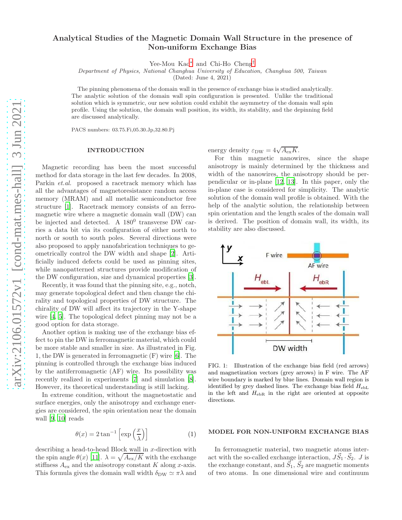# Analytical Studies of the Magnetic Domain Wall Structure in the presence of Non-uniform Exchange Bias

Yee-Mou Kao[∗](#page-5-0) and Chi-Ho Cheng[†](#page-5-1)

Department of Physics, National Changhua University of Education, Changhua 500, Taiwan

(Dated: June 4, 2021)

The pinning phenomena of the domain wall in the presence of exchange bias is studied analytically. The analytic solution of the domain wall spin configuration is presented. Unlike the traditional solution which is symmetric, our new solution could exhibit the asymmetry of the domain wall spin profile. Using the solution, the domain wall position, its width, its stability, and the depinning field are discussed analytically.

PACS numbers: 03.75.Fi,05.30.Jp,32.80.Pj

#### INTRODUCTION

Magnetic recording has been the most successful method for data storage in the last few decades. In 2008, Parkin et.al. proposed a racetrack memory which has all the advantages of magnetoresistance random access memory (MRAM) and all metallic semiconductor free structure [\[1](#page-5-2)]. Racetrack memory consists of an ferromagnetic wire where a magnetic domain wall (DW) can be injected and detected. A 180<sup>0</sup> transverse DW carries a data bit via its configuration of either north to north or south to south poles. Several directions were also proposed to apply nanofabrication techniques to geometrically control the DW width and shape [\[2\]](#page-5-3). Artificially induced defects could be used as pinning sites, while nanopatterned structures provide modification of the DW configuration, size and dynamical properties [\[3\]](#page-5-4).

Recently, it was found that the pinning site, e.g., notch, may generate topological defect and then change the chirality and topological properties of DW structure. The chirality of DW will affect its trajectory in the Y-shape wire [\[4,](#page-5-5) [5\]](#page-5-6). The topological defect pinning may not be a good option for data storage.

Another option is making use of the exchange bias effect to pin the DW in ferromagnetic material, which could be more stable and smaller in size. As illustrated in Fig. 1, the DW is generated in ferromagnetic (F) wire [\[6](#page-5-7)]. The pinning is controlled through the exchange bias induced by the antiferromagnetic (AF) wire. Its possibility was recently realized in experiments [\[7](#page-5-8)] and simulation [\[8\]](#page-5-9). However, its theoretical understanding is still lacking.

In extreme condition, without the magnetostatic and surface energies, only the anisotropy and exchange energies are considered, the spin orientation near the domain wall [\[9,](#page-5-10) [10\]](#page-5-11) reads

<span id="page-0-1"></span>
$$
\theta(x) = 2 \tan^{-1} \left[ \exp\left(\frac{x}{\lambda}\right) \right] \tag{1}
$$

describing a head-to-head Block wall in x-direction with the spin angle  $\theta(x)$  [\[11\]](#page-5-12).  $\lambda = \sqrt{A_{\rm ex}/K}$  with the exchange stiffness  $A_{\text{ex}}$  and the anisotropy constant K along x-axis. This formula gives the domain wall width  $\delta_{\text{DW}} \simeq \pi \lambda$  and

energy density  $\varepsilon_{\text{DW}} = 4\sqrt{A_{\text{ex}}K}$ .

For thin magnetic nanowires, since the shape anisotropy is mainly determined by the thickness and width of the nanowires, the anisotropy should be perpendicular or in-plane [\[12,](#page-5-13) [13](#page-5-14)]. In this paper, only the in-plane case is considered for simplicity. The analytic solution of the domain wall profile is obtained. With the help of the analytic solution, the relationship between spin orientation and the length scales of the domain wall is derived. The position of domain wall, its width, its stability are also discussed.



<span id="page-0-0"></span>FIG. 1: Illustration of the exchange bias field (red arrows) and magnetization vectors (grey arrows) in F wire. The AF wire boundary is marked by blue lines. Domain wall region is identified by grey dashed lines. The exchange bias field  $H_{\text{ebL}}$ in the left and  $H_{\text{ebR}}$  in the right are oriented at opposite directions.

#### MODEL FOR NON-UNIFORM EXCHANGE BIAS

In ferromagnetic material, two magnetic atoms interact with the so-called exchange interaction,  $J\vec{S}_1 \cdot \vec{S}_2$ . J is the exchange constant, and  $\vec{S_1}$ ,  $\vec{S_2}$  are magnetic moments of two atoms. In one dimensional wire and continuum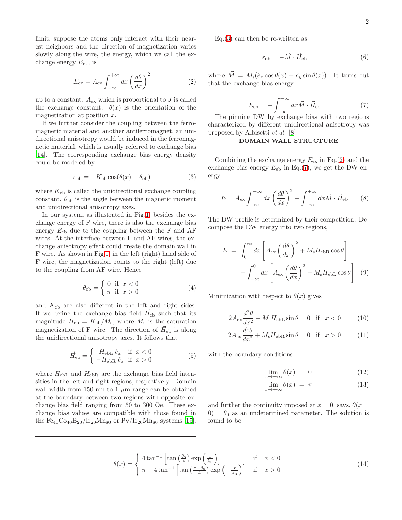limit, suppose the atoms only interact with their nearest neighbors and the direction of magnetization varies slowly along the wire, the energy, which we call the exchange energy  $E_{\text{ex}}$ , is

<span id="page-1-1"></span>
$$
E_{\rm ex} = A_{\rm ex} \int_{-\infty}^{+\infty} dx \left(\frac{d\theta}{dx}\right)^2 \tag{2}
$$

up to a constant.  $A_{\text{ex}}$  which is proportional to J is called the exchange constant.  $\theta(x)$  is the orientation of the magnetization at position x.

If we further consider the coupling between the ferromagnetic material and another antiferromagnet, an unidirectional anisotropy would be induced in the ferromagnetic material, which is usually referred to exchange bias [\[14\]](#page-5-15). The corresponding exchange bias energy density could be modeled by

<span id="page-1-0"></span>
$$
\varepsilon_{\rm eb} = -K_{\rm eb}\cos(\theta(x) - \theta_{\rm eb})\tag{3}
$$

where  $K_{eb}$  is called the unidirectional exchange coupling constant.  $\theta_{\rm eb}$  is the angle between the magnetic moment and unidirectional anisotropy axes.

In our system, as illustrated in Fig[.1,](#page-0-0) besides the exchange energy of F wire, there is also the exchange bias energy  $E_{eb}$  due to the coupling between the F and AF wires. At the interface between F and AF wires, the exchange anisotropy effect could create the domain wall in F wire. As shown in Fig[.1,](#page-0-0) in the left (right) hand side of F wire, the magnetization points to the right (left) due to the coupling from AF wire. Hence

$$
\theta_{\rm eb} = \begin{cases} 0 & \text{if } x < 0 \\ \pi & \text{if } x > 0 \end{cases} \tag{4}
$$

and Keb are also different in the left and right sides. If we define the exchange bias field  $\vec{H}_{eb}$  such that its magnitude  $H_{\text{eb}} = K_{\text{eb}}/M_{\text{s}}$ , where  $M_{\text{s}}$  is the saturation magnetization of F wire. The direction of  $\vec{H}_{eb}$  is along the unidirectional anisotropy axes. It follows that

<span id="page-1-4"></span>
$$
\vec{H}_{eb} = \begin{cases}\nH_{ebL} \hat{e}_x & \text{if } x < 0 \\
-H_{ebR} \hat{e}_x & \text{if } x > 0\n\end{cases}
$$
\n(5)

where  $H_{\text{ebL}}$  and  $H_{\text{ebR}}$  are the exchange bias field intensities in the left and right regions, respectively. Domain wall width from 150 nm to 1  $\mu$ m range can be obtained at the boundary between two regions with opposite exchange bias field ranging from 50 to 300 Oe. These exchange bias values are compatible with those found in the  $Fe_{40}Co_{40}B_{20}/Ir_{20}Mn_{80}$  or  $Py/Ir_{20}Mn_{80}$  systems [\[15\]](#page-5-16).  $Eq.(3)$  $Eq.(3)$  can then be re-written as

$$
\varepsilon_{\rm eb} = -\vec{M} \cdot \vec{H}_{\rm eb} \tag{6}
$$

where  $\vec{M} = M_{\rm s} (\hat{e}_x \cos \theta(x) + \hat{e}_y \sin \theta(x))$ . It turns out that the exchange bias energy

<span id="page-1-2"></span>
$$
E_{\rm eb} = -\int_{-\infty}^{+\infty} dx \vec{M} \cdot \vec{H}_{\rm eb}
$$
 (7)

The pinning DW by exchange bias with two regions characterized by different unidirectional anisotropy was proposed by Albisetti et.al. [\[8\]](#page-5-9)

## DOMAIN WALL STRUCTURE

Combining the exchange energy  $E_{\text{ex}}$  in Eq.[\(2\)](#page-1-1) and the exchange bias energy  $E_{eb}$  in Eq.[\(7\)](#page-1-2), we get the DW energy

$$
E = A_{\text{ex}} \int_{-\infty}^{+\infty} dx \left(\frac{d\theta}{dx}\right)^2 - \int_{-\infty}^{+\infty} dx \vec{M} \cdot \vec{H}_{\text{eb}} \qquad (8)
$$

The DW profile is determined by their competition. Decompose the DW energy into two regions,

$$
E = \int_0^\infty dx \left[ A_{\text{ex}} \left( \frac{d\theta}{dx} \right)^2 + M_{\text{s}} H_{\text{ebR}} \cos \theta \right] + \int_{-\infty}^0 dx \left[ A_{\text{ex}} \left( \frac{d\theta}{dx} \right)^2 - M_{\text{s}} H_{\text{ebL}} \cos \theta \right] \tag{9}
$$

Minimization with respect to  $\theta(x)$  gives

$$
2A_{\text{ex}}\frac{d^2\theta}{dx^2} - M_{\text{s}}H_{\text{ebL}}\sin\theta = 0 \quad \text{if} \quad x < 0 \tag{10}
$$

$$
2A_{\text{ex}}\frac{d^2\theta}{dx^2} + M_{\text{s}}H_{\text{ebR}}\sin\theta = 0 \quad \text{if} \quad x > 0 \tag{11}
$$

with the boundary conditions

<span id="page-1-5"></span>
$$
\lim_{x \to -\infty} \theta(x) = 0 \tag{12}
$$

$$
\lim_{x \to +\infty} \theta(x) = \pi \tag{13}
$$

and further the continuity imposed at  $x = 0$ , says,  $\theta(x =$  $0 = \theta_0$  as an undetermined parameter. The solution is found to be

<span id="page-1-3"></span>
$$
\theta(x) = \begin{cases} 4 \tan^{-1} \left[ \tan \left( \frac{\theta_0}{4} \right) \exp \left( \frac{x}{\lambda_L} \right) \right] & \text{if } x < 0 \\ \pi - 4 \tan^{-1} \left[ \tan \left( \frac{\pi - \theta_0}{4} \right) \exp \left( -\frac{x}{\lambda_R} \right) \right] & \text{if } x > 0 \end{cases}
$$
(14)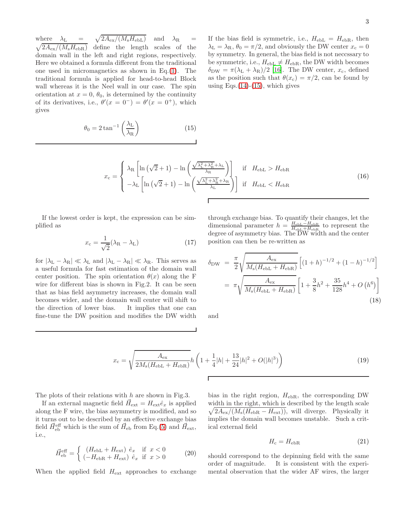where  $\lambda_{\text{L}}$  =  $\sqrt{2A_{\rm ex}/(M_{\rm s}H_{\rm ebL})}$  and  $\lambda_{\rm R}$  =  $\sqrt{2A_{\rm ex}/(M_{\rm s}H_{\rm ebR})}$  define the length scales of the domain wall in the left and right regions, respectively. Here we obtained a formula different from the traditional one used in micromagnetics as shown in Eq.[\(1\)](#page-0-1). The traditional formula is applied for head-to-head Block wall whereas it is the Neel wall in our case. The spin orientation at  $x = 0$ ,  $\theta_0$ , is determined by the continuity of its derivatives, i.e.,  $\theta'(x = 0^-) = \theta'(x = 0^+)$ , which gives

<span id="page-2-0"></span>
$$
\theta_0 = 2 \tan^{-1} \left( \frac{\lambda_L}{\lambda_R} \right) \tag{15}
$$

If the bias field is symmetric, i.e.,  $H_{ebL} = H_{ebR}$ , then  $\lambda_{\rm L} = \lambda_{\rm R}$ ,  $\theta_0 = \pi/2$ , and obviously the DW center  $x_{\rm c} = 0$ by symmetry. In general, the bias field is not neccssary to be symmetric, i.e.,  $H_{\text{ebL}} \neq H_{\text{ebR}}$ , the DW width becomes  $\delta_{\rm DW} = \pi (\lambda_{\rm L} + \lambda_{\rm R})/2$  [\[16\]](#page-5-17). The DW center,  $x_{\rm c}$ , defined as the position such that  $\theta(x_c) = \pi/2$ , can be found by using Eqs. $(14)-(15)$  $(14)-(15)$  $(14)-(15)$ , which gives

$$
x_{\rm c} = \begin{cases} \lambda_{\rm R} \left[ \ln\left(\sqrt{2} + 1\right) - \ln\left(\frac{\sqrt{\lambda_{\rm L}^2 + \lambda_{\rm R}^2} + \lambda_{\rm L}}{\lambda_{\rm R}}\right) \right] & \text{if } H_{\rm ebL} > H_{\rm ebR} \\ -\lambda_{\rm L} \left[ \ln\left(\sqrt{2} + 1\right) - \ln\left(\frac{\sqrt{\lambda_{\rm L}^2 + \lambda_{\rm R}^2} + \lambda_{\rm R}}{\lambda_{\rm L}}\right) \right] & \text{if } H_{\rm ebL} < H_{\rm ebR} \end{cases} \tag{16}
$$

If the lowest order is kept, the expression can be simplified as

$$
x_{\rm c} = \frac{1}{\sqrt{2}} (\lambda_{\rm R} - \lambda_{\rm L}) \tag{17}
$$

for  $|\lambda_{\text{L}} - \lambda_{\text{R}}| \ll \lambda_{\text{L}}$  and  $|\lambda_{\text{L}} - \lambda_{\text{R}}| \ll \lambda_{\text{R}}$ . This serves as a useful formula for fast estimation of the domain wall center position. The spin orientation  $\theta(x)$  along the F wire for different bias is shown in Fig.2. It can be seen that as bias field asymmetry increases, the domain wall becomes wider, and the domain wall center will shift to the direction of lower bias. It implies that one can fine-tune the DW position and modifies the DW width through exchange bias. To quantify their changes, let the dimensional parameter  $h = \frac{H_{\text{ebL}} - H_{\text{ebR}}}{H_{\text{ebL}} + H_{\text{ebR}}}$  to represent the degree of asymmetry bias. The DW width and the center position can then be re-written as

$$
\delta_{\rm DW} = \frac{\pi}{2} \sqrt{\frac{A_{\rm ex}}{M_{\rm s}(H_{\rm ebL} + H_{\rm ebR})}} \left[ (1+h)^{-1/2} + (1-h)^{-1/2} \right]
$$

$$
= \pi \sqrt{\frac{A_{\rm ex}}{M_{\rm s}(H_{\rm ebL} + H_{\rm ebR})}} \left[ 1 + \frac{3}{8} h^2 + \frac{35}{128} h^4 + O\left(h^6\right) \right]
$$
(18)

and

$$
x_{\rm c} = \sqrt{\frac{A_{\rm ex}}{2M_{\rm s}(H_{\rm ebL} + H_{\rm ebR})}} h \left( 1 + \frac{1}{4}|h| + \frac{13}{24}|h|^2 + O(|h|^3) \right) \tag{19}
$$

The plots of their relations with  $h$  are shown in Fig.3.

If an external magnetic field  $\vec{H}_{ext} = H_{ext} \hat{e}_x$  is applied along the F wire, the bias asymmetry is modified, and so it turns out to be described by an effective exchange bias field  $\vec{H}_{eb}^{\text{eff}}$  which is the sum of  $\vec{H}_{eb}$  from Eq.[\(5\)](#page-1-4) and  $\vec{H}_{ext}$ , i.e.,

$$
\vec{H}_{\text{eb}}^{\text{eff}} = \begin{cases}\n(H_{\text{ebL}} + H_{\text{ext}}) \hat{e}_x & \text{if } x < 0 \\
(-H_{\text{ebR}} + H_{\text{ext}}) \hat{e}_x & \text{if } x > 0\n\end{cases}
$$
\n(20)

When the applied field  $H_{\text{ext}}$  approaches to exchange

bias in the right region,  $H_{\text{ebR}}$ , the corresponding DW width in the right, which is described by the length scale  $\sqrt{2A_{\rm ex}/(M_{\rm s}(H_{\rm ebR} - H_{\rm ext}))}$ , will diverge. Physically it implies the domain wall becomes unstable. Such a critical external field

$$
H_{\rm c} = H_{\rm ebR} \tag{21}
$$

should correspond to the depinning field with the same order of magnitude. It is consistent with the experimental observation that the wider AF wires, the larger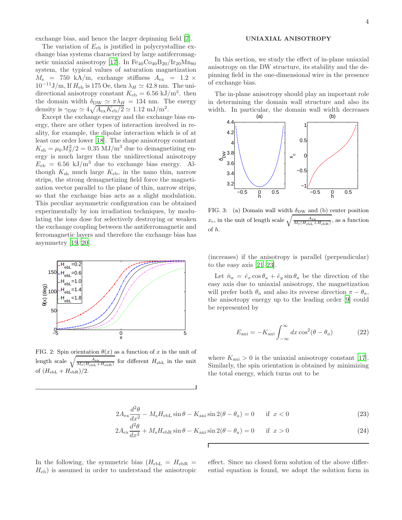exchange bias, and hence the larger depinning field [\[7\]](#page-5-8).

The variation of  $E_{eb}$  is justified in polycrystalline exchange bias systems characterized by large antiferromag-netic uniaxial anisotropy [\[17\]](#page-5-18). In  $Fe_{40}Co_{40}B_{20}/Ir_{20}Mn_{80}$ system, the typical values of saturation magnetization  $M_{\rm s}$  = 750 kA/m, exchange stiffness  $A_{\rm ex}$  = 1.2  $\times$  $10^{-11}$ J/m, If  $H_{eb}$  is 175 Oe, then  $\lambda_H \simeq 42.8$  nm. The unidirectional anisotropy constant  $K_{eb} = 6.56 \text{ kJ/m}^3$ . then the domain width  $\delta_{\text{DW}} \simeq \pi \lambda_H = 134 \text{ nm}$ . The energy density is  $\gamma_{\text{DW}} \simeq 4\sqrt{A_{\text{ex}}K_{\text{eb}}/2} \simeq 1.12 \text{ mJ/m}^2$ .

Except the exchange energy and the exchange bias energy, there are other types of interaction involved in reality, for example, the dipolar interaction which is of at least one order lower [\[18\]](#page-5-19). The shape anisotropy constant  $K_{\rm sh} = \mu_0 M_S^2/2 = 0.35$  MJ/m<sup>3</sup> due to demagnetizing energy is much larger than the unidirectional anisotropy  $E_{eb} = 6.56 \text{ kJ/m}^3$  due to exchange bias energy. Although  $K_{\rm sh}$  much large  $K_{\rm eb}$ , in the nano thin, narrow strips, the strong demagnetizing field force the magnetization vector parallel to the plane of thin, narrow strips, so that the exchange bias acts as a slight modulation. This peculiar asymmetric configuration can be obtained experimentally by ion irradiation techniques, by modulating the ions dose for selectively destroying or weaken the exchange coupling between the antiferromagnetic and ferromagnetic layers and therefore the exchange bias has asymmetry [\[19](#page-5-20), [20](#page-5-21)].



FIG. 2: Spin orientation  $\theta(x)$  as a function of x in the unit of length scale  $\sqrt{\frac{A_{\text{ex}}}{M_s(H_{\text{ebL}}+H_{\text{ebR}})}}$  for different  $H_{\text{ebL}}$  in the unit of  $(H_{\text{ebL}} + H_{\text{ebR}})/2$ .

### UNIAXIAL ANISOTROPY

In this section, we study the effect of in-plane uniaxial anisotropy on the DW structure, its stability and the depinning field in the one-dimensional wire in the presence of exchange bias.

The in-plane anisotropy should play an important role in determining the domain wall structure and also its width. In particular, the domain wall width decreases



FIG. 3: (a) Domain wall width  $\delta_{\text{DW}}$  and (b) center position  $x_c$ , in the unit of length scale  $\sqrt{\frac{A_{\rm ex}}{M_{\rm s}(H_{\rm ebL}+H_{\rm ebR})}}$ , as a function of h.

(increases) if the anisotropy is parallel (perpendicular) to the easy axis [\[21](#page-5-22)[–23](#page-5-23)].

Let  $\hat{n}_a = \hat{e}_x \cos \theta_a + \hat{e}_y \sin \theta_a$  be the direction of the easy axis due to uniaxial anisotropy, the magnetization will prefer both  $\theta_a$  and also its reverse direction  $\pi - \theta_a$ , the anisotropy energy up to the leading order [\[9](#page-5-10)] could be represented by

$$
E_{\text{ani}} = -K_{\text{ani}} \int_{-\infty}^{\infty} dx \cos^2(\theta - \theta_a) \tag{22}
$$

where  $K_{\text{ani}} > 0$  is the uniaxial anisotropy constant [\[17\]](#page-5-18). Similarly, the spin orientation is obtained by minimizing the total energy, which turns out to be

$$
2A_{\text{ex}}\frac{d^2\theta}{dx^2} - M_{\text{s}}H_{\text{ebL}}\sin\theta - K_{\text{ani}}\sin 2(\theta - \theta_a) = 0 \quad \text{if } x < 0
$$
 (23)

$$
2A_{\text{ex}}\frac{d^2\theta}{dx^2} + M_{\text{s}}H_{\text{ebR}}\sin\theta - K_{\text{ani}}\sin 2(\theta - \theta_a) = 0 \quad \text{if } x > 0 \tag{24}
$$

Г

In the following, the symmetric bias  $(H_{ebL} = H_{ebR} =$  $H_{\text{eb}}$ ) is assumed in order to understand the anisotropic effect. Since no closed form solution of the above differential equation is found, we adopt the solution form in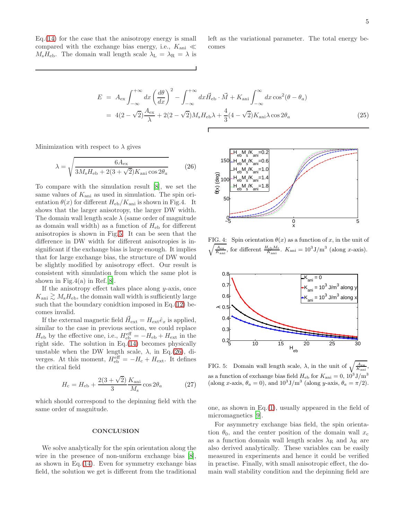Eq.[\(14\)](#page-1-3) for the case that the anisotropy energy is small compared with the exchange bias energy, i.e.,  $K_{\text{ani}} \ll$  $M_s H_{\text{eb}}$ . The domain wall length scale  $\lambda_L = \lambda_R = \lambda$  is left as the variational parameter. The total energy becomes

$$
E = A_{\text{ex}} \int_{-\infty}^{+\infty} dx \left(\frac{d\theta}{dx}\right)^2 - \int_{-\infty}^{+\infty} dx \vec{H}_{\text{eb}} \cdot \vec{M} + K_{\text{ani}} \int_{-\infty}^{\infty} dx \cos^2(\theta - \theta_a)
$$
  
=  $4(2 - \sqrt{2}) \frac{A_{\text{ex}}}{\lambda} + 2(2 - \sqrt{2}) M_{\text{s}} H_{\text{eb}} \lambda + \frac{4}{3} (4 - \sqrt{2}) K_{\text{ani}} \lambda \cos 2\theta_a$  (25)

Minimization with respect to  $\lambda$  gives

<span id="page-4-1"></span>
$$
\lambda = \sqrt{\frac{6A_{\text{ex}}}{3M_{\text{s}}H_{\text{eb}} + 2(3+\sqrt{2})K_{\text{ani}}\cos 2\theta_a}}
$$
(26)

To compare with the simulation result [\[8](#page-5-9)], we set the same values of  $K_{\text{ani}}$  as used in simulation. The spin orientation  $\theta(x)$  for different  $H_{\text{eb}}/K_{\text{ani}}$  is shown in Fig.4. It shows that the larger anisotropy, the larger DW width. The domain wall length scale  $\lambda$  (same order of magnitude as domain wall width) as a function of  $H_{eb}$  for different anisotropies is shown in Fig[.5.](#page-4-0) It can be seen that the difference in DW width for different anisotropies is insignificant if the exchange bias is large enough. It implies that for large exchange bias, the structure of DW would be slightly modified by anisotropy effect. Our result is consistent with simulation from which the same plot is shown in Fig.4(a) in Ref.[\[8\]](#page-5-9).

If the anisotropy effect takes place along  $y$ -axis, once  $K_{\text{ani}} \gtrsim M_{\text{s}}H_{\text{eb}}$ , the domain wall width is sufficiently large such that the boundary conidtion imposed in Eq.[\(12\)](#page-1-5) becomes invalid.

If the external magnetic field  $\vec{H}_{ext} = H_{ext} \hat{e}_x$  is applied, similar to the case in previous section, we could replace  $H_{\text{eb}}$  by the effective one, i.e.,  $H_{\text{eb}}^{\text{eff}} = -H_{\text{eb}} + H_{\text{ext}}$  in the right side. The solution in Eq.[\(14\)](#page-1-3) becomes physically unstable when the DW length scale,  $\lambda$ , in Eq.[\(26\)](#page-4-1), diverges. At this moment,  $H_{\text{eb}}^{\text{eff}} = -H_{\text{c}} + H_{\text{ext}}$ . It defines the critical field

$$
H_{\rm c} = H_{\rm eb} + \frac{2(3+\sqrt{2})}{3} \frac{K_{\rm ani}}{M_{\rm s}} \cos 2\theta_a \eqno(27)
$$

which should correspond to the depinning field with the same order of magnitude.

#### **CONCLUSION**

We solve analytically for the spin orientation along the wire in the presence of non-uniform exchange bias [\[8\]](#page-5-9), as shown in Eq. $(14)$ . Even for symmetry exchange bias field, the solution we get is different from the traditional



 $\sqrt{\frac{A_{\rm ex}}{K_{\rm ani}}},$  for different  $\frac{H_{\rm eb}M_{\rm s}}{K_{\rm ani}}$ .  $K_{\rm ani} = 10^3 \,{\rm J/m^3}$  (along x-axis). FIG. 4: Spin orientation  $\theta(x)$  as a function of x, in the unit of



<span id="page-4-0"></span>FIG. 5: Domain wall length scale,  $\lambda$ , in the unit of  $\sqrt{\frac{A_{\rm ex}}{K_{\rm ani}}},$ as a function of exchange bias field  $H_{\text{eb}}$  for  $K_{\text{ani}} = 0$ ,  $10^3 \text{J/m}^3$ (along x-axis,  $\theta_a = 0$ ), and  $10^3 J/m^3$  (along y-axis,  $\theta_a = \pi/2$ ).

one, as shown in Eq.[\(1\)](#page-0-1), usually appeared in the field of micromagnetics [\[9\]](#page-5-10).

For asymmetry exchange bias field, the spin orientation  $\theta_0$ , and the center position of the domain wall  $x_c$ as a function domain wall length scales  $\lambda_R$  and  $\lambda_R$  are also derived analytically. These variables can be easily measured in experiments and hence it could be verified in practise. Finally, with small anisotropic effect, the domain wall stability condition and the depinning field are